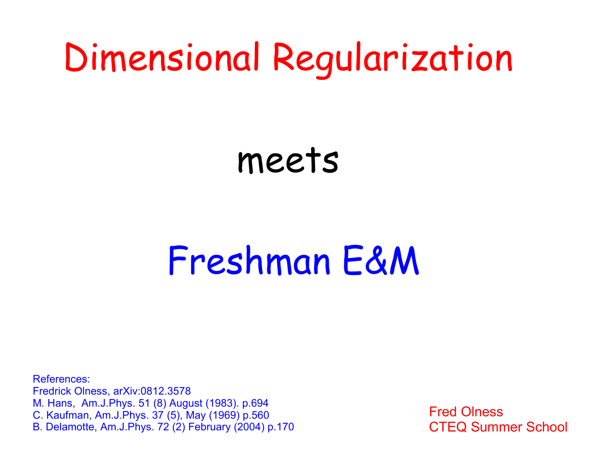# Dimensional Regularization

# meets

# Freshman E&M

References: Fredrick Olness, arXiv:0812.3578 M. Hans, Am.J.Phys. 51 (8) August (1983). p.694 C. Kaufman, Am.J.Phys. 37 (5), May (1969) p.560 B. Delamotte, Am.J.Phys. 72 (2) February (2004) p.170

Fred Olness CTEQ Summer School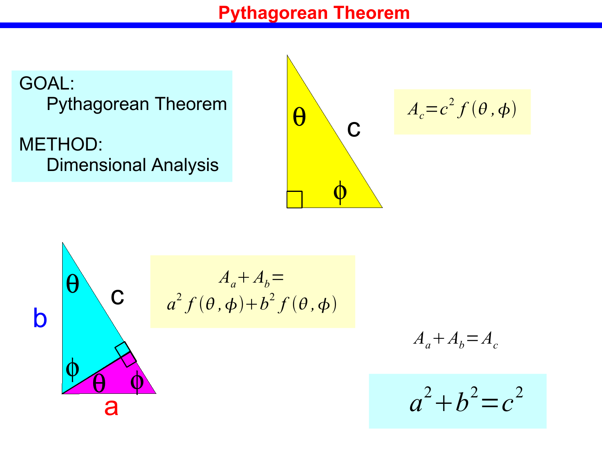#### **Pythagorean Theorem**

GOAL: Pythagorean Theorem

METHOD: Dimensional Analysis

$$
\theta \qquad c \qquad A_c = c^2 f(\theta, \phi)
$$

$$
\theta
$$
\n
$$
\theta
$$
\n
$$
\theta
$$
\n
$$
a^{2} f(\theta, \phi) + b^{2} f(\theta, \phi)
$$
\n
$$
\theta
$$
\n
$$
\theta
$$
\n
$$
\theta
$$
\n
$$
\theta
$$

$$
A_a + A_b = A_c
$$

$$
a^2+b^2=c^2
$$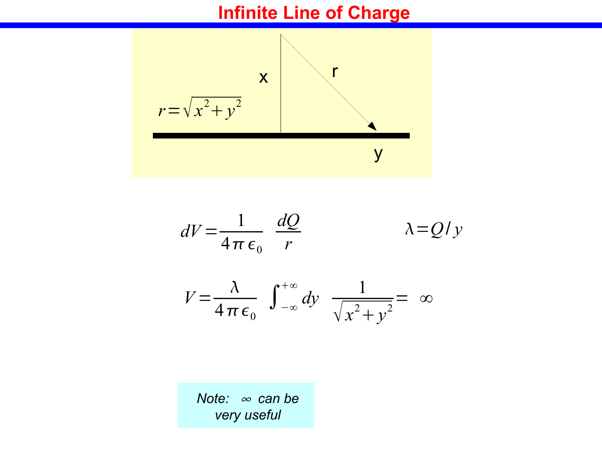### **Infinite Line of Charge**



$$
dV = \frac{1}{4\pi\epsilon_0} \frac{dQ}{r} \qquad \lambda = Q/y
$$

$$
V = \frac{\lambda}{4 \pi \epsilon_0} \int_{-\infty}^{+\infty} dy \frac{1}{\sqrt{x^2 + y^2}} = \infty
$$

*Note: ∞ can be very useful*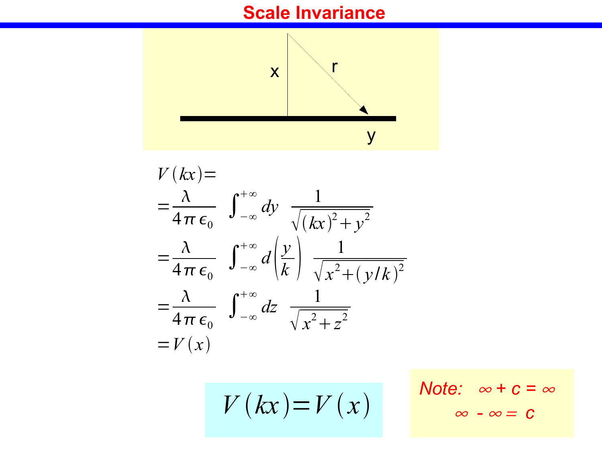# **Scale Invariance**



$$
V(kx) =
$$
  
\n
$$
= \frac{\lambda}{4\pi \epsilon_0} \int_{-\infty}^{+\infty} dy \frac{1}{\sqrt{(kx)^2 + y^2}}
$$
  
\n
$$
= \frac{\lambda}{4\pi \epsilon_0} \int_{-\infty}^{+\infty} d\left(\frac{y}{k}\right) \frac{1}{\sqrt{x^2 + (y/k)^2}}
$$
  
\n
$$
= \frac{\lambda}{4\pi \epsilon_0} \int_{-\infty}^{+\infty} dz \frac{1}{\sqrt{x^2 + z^2}}
$$
  
\n
$$
= V(x)
$$

$$
V(kx) = V(x)
$$

Note: 
$$
\infty + c = \infty
$$
  
 $\infty - \infty = c$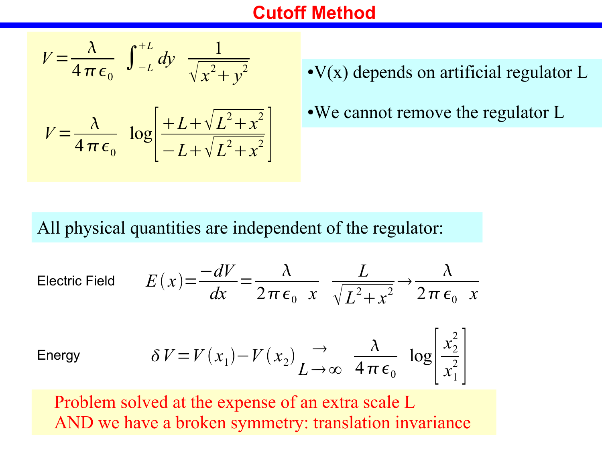#### **Cutoff Method**

$$
V = \frac{\lambda}{4 \pi \epsilon_0} \int_{-L}^{+L} dy \frac{1}{\sqrt{x^2 + y^2}}
$$

$$
V = \frac{\lambda}{4 \pi \epsilon_0} \log \left[ \frac{+L + \sqrt{L^2 + x^2}}{-L + \sqrt{L^2 + x^2}} \right]
$$

 $\cdot$ V(x) depends on artificial regulator L

• We cannot remove the regulator L

All physical quantities are independent of the regulator:

Electric Field 
$$
E(x) = \frac{-dV}{dx} = \frac{\lambda}{2\pi\epsilon_0} \frac{L}{x} \frac{L}{\sqrt{L^2 + x^2}} \rightarrow \frac{\lambda}{2\pi\epsilon_0} x
$$

Energy

$$
\delta V = V(x_1) - V(x_2) \underset{L \to \infty}{\rightarrow} \frac{\lambda}{4 \pi \epsilon_0} \log \left[ \frac{x_2^2}{x_1^2} \right]
$$

Problem solved at the expense of an extra scale L AND we have a broken symmetry: translation invariance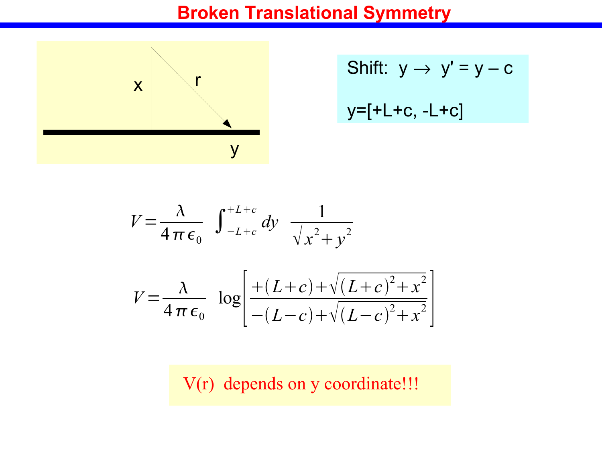### **Broken Translational Symmetry**



Shift: 
$$
y \rightarrow y' = y - c
$$
  
 $y=[+L+c, -L+c]$ 

$$
V = \frac{\lambda}{4 \pi \epsilon_0} \int_{-L+c}^{+L+c} dy \frac{1}{\sqrt{x^2 + y^2}}
$$
  

$$
V = \frac{\lambda}{4 \pi \epsilon_0} \log \left[ \frac{+(L+c) + \sqrt{(L+c)^2 + x^2}}{-(L-c) + \sqrt{(L-c)^2 + x^2}} \right]
$$

V(r) depends on y coordinate!!!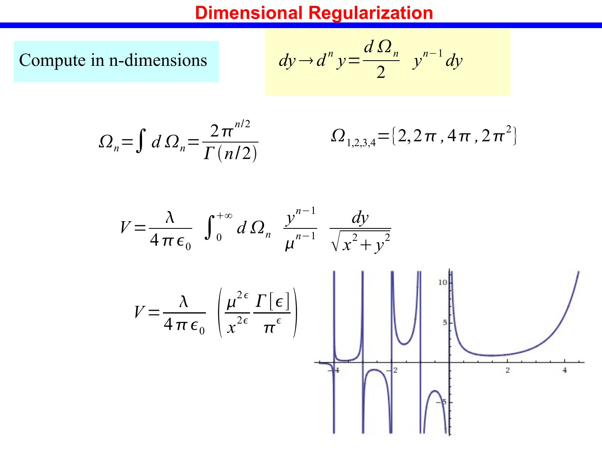#### **Dimensional Regularization**

Compute in n-dimensions

$$
dy \rightarrow d^n y = \frac{d \Omega_n}{2} y^{n-1} dy
$$

$$
\Omega_n = \int d\Omega_n = \frac{2\pi^{n/2}}{\Gamma(n/2)}
$$

$$
\Omega_{1,2,3,4} = \{2,2\pi,4\pi,2\pi^2\}
$$

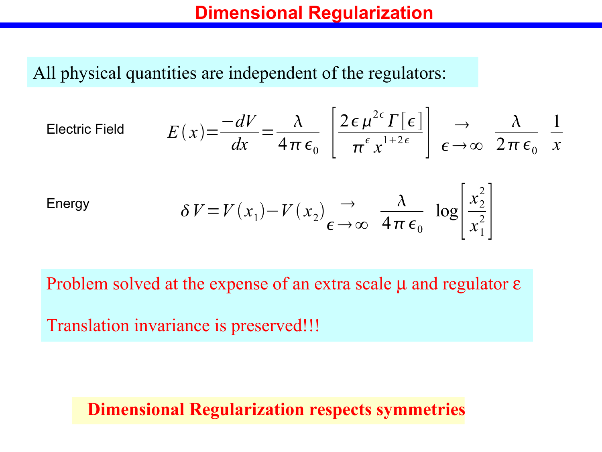#### **Dimensional Regularization**

All physical quantities are independent of the regulators:

$$
\text{Electric Field} \qquad \qquad E(x) = \frac{-dV}{dx} = \frac{\lambda}{4\pi\,\epsilon_0} \left[ \frac{2\,\epsilon\,\mu^{2\,\epsilon}\,\Gamma\left[\,\epsilon\,\right]}{\pi^{\,\epsilon}\,x^{1+2\,\epsilon}} \right] \quad \underset{\epsilon \to \infty}{\to} \quad \frac{\lambda}{2\,\pi\,\epsilon_0} \quad \frac{1}{x}
$$

Energy 
$$
\delta V = V(x_1) - V(x_2) \underset{\epsilon \to \infty}{\rightarrow} \frac{\lambda}{4\pi\epsilon_0} \log \left| \frac{x_2^2}{x_1^2} \right|
$$

Problem solved at the expense of an extra scale  $\mu$  and regulator  $\varepsilon$ 

Translation invariance is preserved!!!

#### **Dimensional Regularization respects symmetries**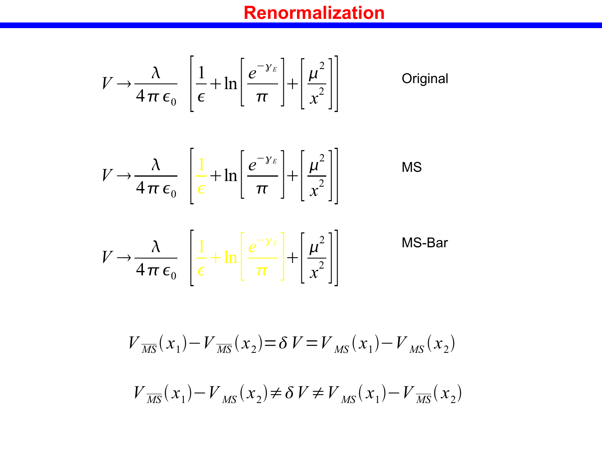# **Renormalization**

MS

$$
V \to \frac{\lambda}{4\pi\,\epsilon_0} \left[ \frac{1}{\epsilon} + \ln \left[ \frac{e^{-\gamma_E}}{\pi} \right] + \left[ \frac{\mu^2}{x^2} \right] \right]
$$
 Original

 $\blacksquare$ 

$$
V \rightarrow \frac{\lambda}{4\pi\epsilon_0} \left[ \frac{1}{\epsilon} + \ln \left[ \frac{e^{-\gamma_E}}{\pi} \right] + \left[ \frac{\mu^2}{x^2} \right] \right]
$$

$$
V \rightarrow \frac{\lambda}{4\pi\epsilon_0} \left[ \frac{1}{\epsilon} + \ln \left[ \frac{e^{-\gamma_E}}{\pi} \right] + \left[ \frac{\mu^2}{x^2} \right] \right]
$$
MS-Bar

$$
V_{\overline{MS}}(x_1) - V_{\overline{MS}}(x_2) = \delta V = V_{\overline{MS}}(x_1) - V_{\overline{MS}}(x_2)
$$

$$
V_{\overline{\rm MS}}(x_1) - V_{\overline{\rm MS}}(x_2) \neq \delta \, V \neq V_{\overline{\rm MS}}(x_1) - V_{\overline{\rm MS}}(x_2)
$$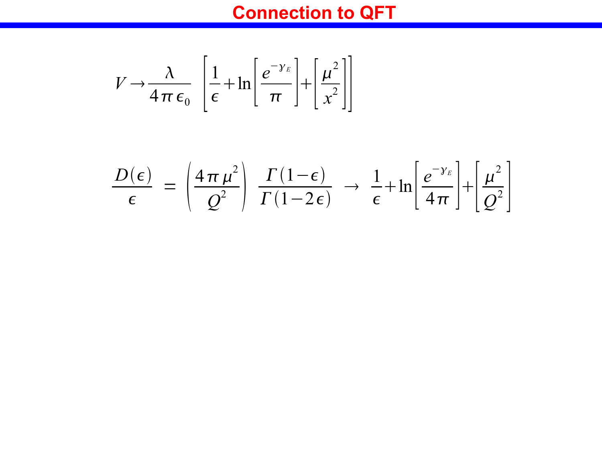# **Connection to QFT**

$$
V \rightarrow \frac{\lambda}{4\pi\,\epsilon_0} \left[ \frac{1}{\epsilon} + \ln \left[ \frac{e^{-\gamma_E}}{\pi} \right] + \left[ \frac{\mu^2}{x^2} \right] \right]
$$

$$
\frac{D(\epsilon)}{\epsilon} = \left(\frac{4\pi\mu^2}{Q^2}\right) \frac{\Gamma(1-\epsilon)}{\Gamma(1-2\epsilon)} \rightarrow \frac{1}{\epsilon} + \ln\left[\frac{e^{-\gamma_E}}{4\pi}\right] + \left[\frac{\mu^2}{Q^2}\right]
$$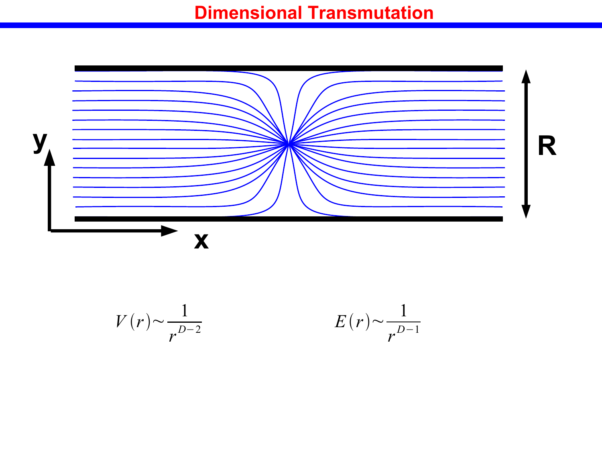#### **Dimensional Transmutation**



 $V(r)$ ~ 1 *r D*−2

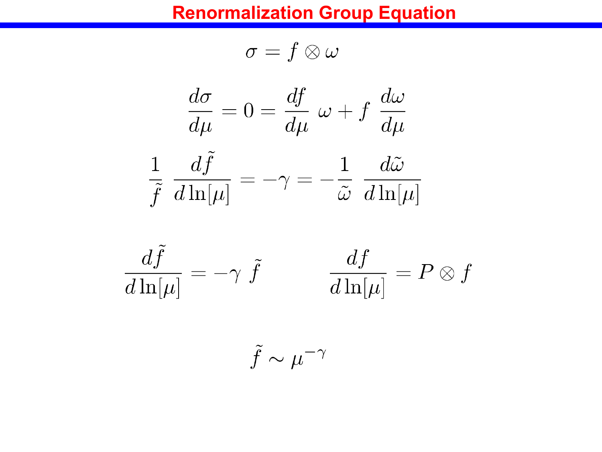#### **Renormalization Group Equation**

$$
\sigma=f\otimes\omega
$$

$$
\frac{d\sigma}{d\mu}=0=\frac{df}{d\mu}\,\,\omega+f\,\,\frac{d\omega}{d\mu}
$$

$$
\frac{1}{\tilde{f}} \frac{d\tilde{f}}{d\ln[\mu]} = -\gamma = -\frac{1}{\tilde{\omega}} \frac{d\tilde{\omega}}{d\ln[\mu]}
$$



$$
\tilde{f} \sim \mu^{-\gamma}
$$